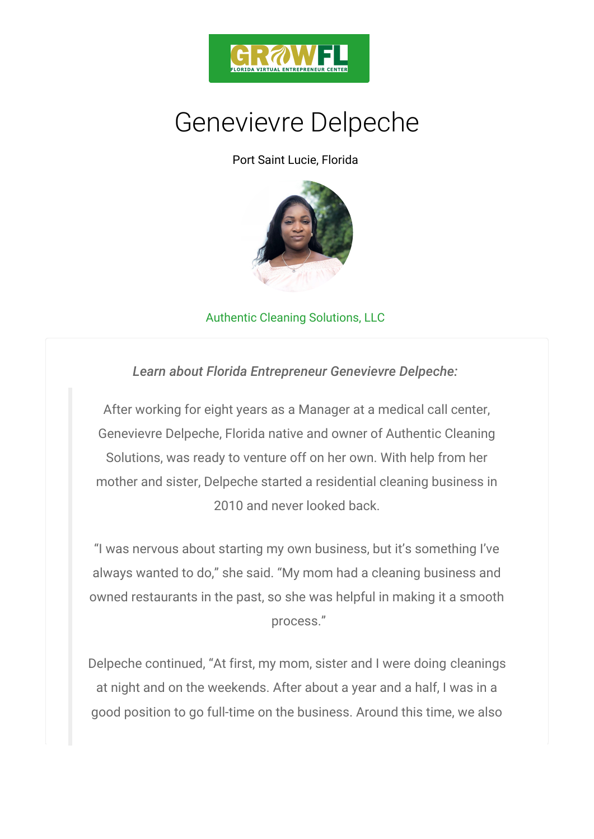

## Genevievre Delpeche

Port Saint Lucie, Florida

## [Au](https://www.authenticcleaningsolutions.com/)thentic Cleaning Solutions, LLC

Learn about Florida Entrepreneur Genevievre De

After working for eight years as a Manager at a med Genevievre Delpeche, Florida native and owner of Au Solutions, was ready to venture off on her own. With mother and sister, Delpeche started a residential cle 2010 and never looked back.

I was nervous about starting my own business, but it always wanted to do, she said. My mom had a cleaning owned restaurants in the past, so she was helpful in r process.

Delpeche continued, At first, my mom, cst esatre im g s d I we at night and on the weekends. After about a year and good position to go full-time on the business. Around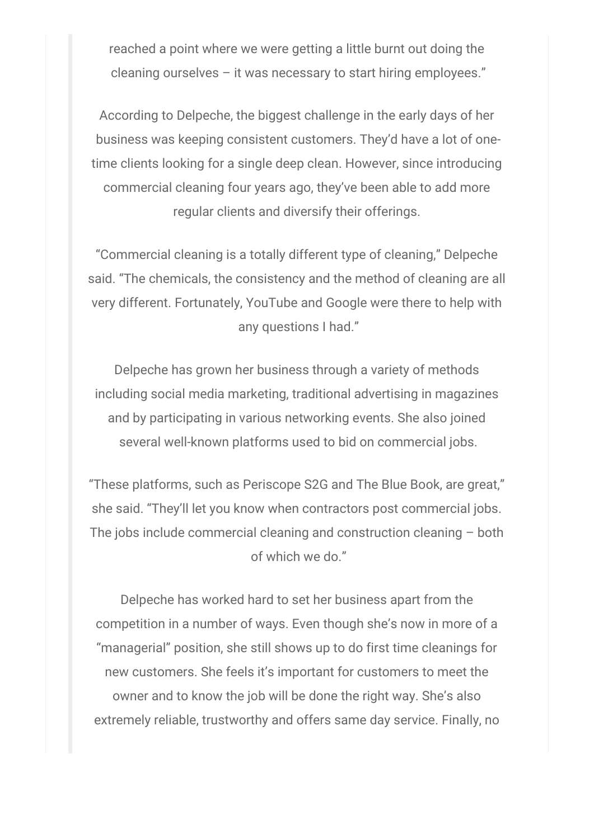reached a point where we were getting a little burnt out doing the cleaning ourselves – it was necessary to start hiring employees."

According to Delpeche, the biggest challenge in the early days of her business was keeping consistent customers. They'd have a lot of onetime clients looking for a single deep clean. However, since introducing commercial cleaning four years ago, they've been able to add more regular clients and diversify their offerings.

"Commercial cleaning is a totally different type of cleaning," Delpeche said. "The chemicals, the consistency and the method of cleaning are all very different. Fortunately, YouTube and Google were there to help with any questions I had."

Delpeche has grown her business through a variety of methods including social media marketing, traditional advertising in magazines and by participating in various networking events. She also joined several well-known platforms used to bid on commercial jobs.

"These platforms, such as Periscope S2G and The Blue Book, are great," she said. "They'll let you know when contractors post commercial jobs. The jobs include commercial cleaning and construction cleaning – both of which we do."

Delpeche has worked hard to set her business apart from the competition in a number of ways. Even though she's now in more of a "managerial" position, she still shows up to do first time cleanings for new customers. She feels it's important for customers to meet the owner and to know the job will be done the right way. She's also extremely reliable, trustworthy and offers same day service. Finally, no